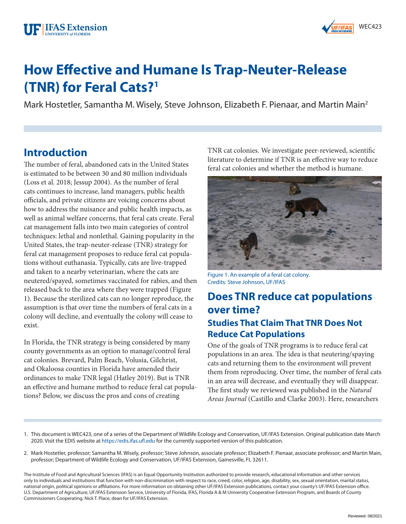

# **How Effective and Humane Is Trap-Neuter-Release (TNR) for Feral Cats?1**

Mark Hostetler, Samantha M. Wisely, Steve Johnson, Elizabeth F. Pienaar, and Martin Main<sup>2</sup>

### **Introduction**

The number of feral, abandoned cats in the United States is estimated to be between 30 and 80 million individuals (Loss et al. 2018; Jessup 2004). As the number of feral cats continues to increase, land managers, public health officials, and private citizens are voicing concerns about how to address the nuisance and public health impacts, as well as animal welfare concerns, that feral cats create. Feral cat management falls into two main categories of control techniques: lethal and nonlethal. Gaining popularity in the United States, the trap-neuter-release (TNR) strategy for feral cat management proposes to reduce feral cat populations without euthanasia. Typically, cats are live-trapped and taken to a nearby veterinarian, where the cats are neutered/spayed, sometimes vaccinated for rabies, and then released back to the area where they were trapped (Figure 1). Because the sterilized cats can no longer reproduce, the assumption is that over time the numbers of feral cats in a colony will decline, and eventually the colony will cease to exist.

In Florida, the TNR strategy is being considered by many county governments as an option to manage/control feral cat colonies. Brevard, Palm Beach, Volusia, Gilchrist, and Okaloosa counties in Florida have amended their ordinances to make TNR legal (Hatley 2019). But is TNR an effective and humane method to reduce feral cat populations? Below, we discuss the pros and cons of creating

TNR cat colonies. We investigate peer-reviewed, scientific literature to determine if TNR is an effective way to reduce feral cat colonies and whether the method is humane.



Figure 1. An example of a feral cat colony. Credits: Steve Johnson, UF/IFAS

#### **Does TNR reduce cat populations over time? Studies That Claim That TNR Does Not Reduce Cat Populations**

One of the goals of TNR programs is to reduce feral cat populations in an area. The idea is that neutering/spaying cats and returning them to the environment will prevent them from reproducing. Over time, the number of feral cats in an area will decrease, and eventually they will disappear. The first study we reviewed was published in the *Natural Areas Journal* (Castillo and Clarke 2003). Here, researchers

- 1. This document is WEC423, one of a series of the Department of Wildlife Ecology and Conservation, UF/IFAS Extension. Original publication date March 2020. Visit the EDIS website at <https://edis.ifas.ufl.edu>for the currently supported version of this publication.
- 2. Mark Hostetler, professor; Samantha M. Wisely, professor; Steve Johnson, associate professor; Elizabeth F. Pienaar, associate professor; and Martin Main, professor; Department of Wildlife Ecology and Conservation, UF/IFAS Extension, Gainesville, FL 32611.

The Institute of Food and Agricultural Sciences (IFAS) is an Equal Opportunity Institution authorized to provide research, educational information and other services only to individuals and institutions that function with non-discrimination with respect to race, creed, color, religion, age, disability, sex, sexual orientation, marital status, national origin, political opinions or affiliations. For more information on obtaining other UF/IFAS Extension publications, contact your county's UF/IFAS Extension office. U.S. Department of Agriculture, UF/IFAS Extension Service, University of Florida, IFAS, Florida A & M University Cooperative Extension Program, and Boards of County Commissioners Cooperating. Nick T. Place, dean for UF/IFAS Extension.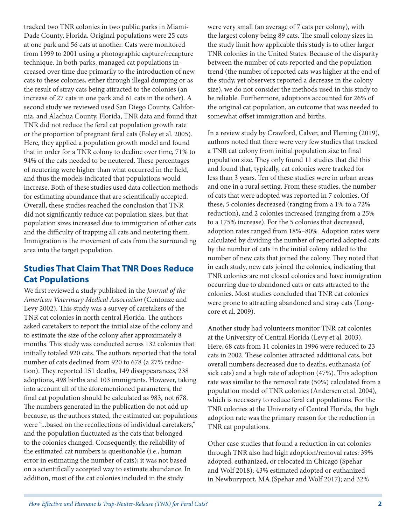tracked two TNR colonies in two public parks in Miami-Dade County, Florida. Original populations were 25 cats at one park and 56 cats at another. Cats were monitored from 1999 to 2001 using a photographic capture/recapture technique. In both parks, managed cat populations increased over time due primarily to the introduction of new cats to these colonies, either through illegal dumping or as the result of stray cats being attracted to the colonies (an increase of 27 cats in one park and 61 cats in the other). A second study we reviewed used San Diego County, California, and Alachua County, Florida, TNR data and found that TNR did not reduce the feral cat population growth rate or the proportion of pregnant feral cats (Foley et al. 2005). Here, they applied a population growth model and found that in order for a TNR colony to decline over time, 71% to 94% of the cats needed to be neutered. These percentages of neutering were higher than what occurred in the field, and thus the models indicated that populations would increase. Both of these studies used data collection methods for estimating abundance that are scientifically accepted. Overall, these studies reached the conclusion that TNR did not significantly reduce cat population sizes, but that population sizes increased due to immigration of other cats and the difficulty of trapping all cats and neutering them. Immigration is the movement of cats from the surrounding area into the target population.

#### **Studies That Claim That TNR Does Reduce Cat Populations**

We first reviewed a study published in the *Journal of the American Veterinary Medical Association* (Centonze and Levy 2002). This study was a survey of caretakers of the TNR cat colonies in north central Florida. The authors asked caretakers to report the initial size of the colony and to estimate the size of the colony after approximately 8 months. This study was conducted across 132 colonies that initially totaled 920 cats. The authors reported that the total number of cats declined from 920 to 678 (a 27% reduction). They reported 151 deaths, 149 disappearances, 238 adoptions, 498 births and 103 immigrants. However, taking into account all of the aforementioned parameters, the final cat population should be calculated as 983, not 678. The numbers generated in the publication do not add up because, as the authors stated, the estimated cat populations were "...based on the recollections of individual caretakers," and the population fluctuated as the cats that belonged to the colonies changed. Consequently, the reliability of the estimated cat numbers is questionable (i.e., human error in estimating the number of cats); it was not based on a scientifically accepted way to estimate abundance. In addition, most of the cat colonies included in the study

were very small (an average of 7 cats per colony), with the largest colony being 89 cats. The small colony sizes in the study limit how applicable this study is to other larger TNR colonies in the United States. Because of the disparity between the number of cats reported and the population trend (the number of reported cats was higher at the end of the study, yet observers reported a decrease in the colony size), we do not consider the methods used in this study to be reliable. Furthermore, adoptions accounted for 26% of the original cat population, an outcome that was needed to somewhat offset immigration and births.

In a review study by Crawford, Calver, and Fleming (2019), authors noted that there were very few studies that tracked a TNR cat colony from initial population size to final population size. They only found 11 studies that did this and found that, typically, cat colonies were tracked for less than 3 years. Ten of these studies were in urban areas and one in a rural setting. From these studies, the number of cats that were adopted was reported in 7 colonies. Of these, 5 colonies decreased (ranging from a 1% to a 72% reduction), and 2 colonies increased (ranging from a 25% to a 175% increase). For the 5 colonies that decreased, adoption rates ranged from 18%–80%. Adoption rates were calculated by dividing the number of reported adopted cats by the number of cats in the initial colony added to the number of new cats that joined the colony. They noted that in each study, new cats joined the colonies, indicating that TNR colonies are not closed colonies and have immigration occurring due to abandoned cats or cats attracted to the colonies. Most studies concluded that TNR cat colonies were prone to attracting abandoned and stray cats (Longcore et al. 2009).

Another study had volunteers monitor TNR cat colonies at the University of Central Florida (Levy et al. 2003). Here, 68 cats from 11 colonies in 1996 were reduced to 23 cats in 2002. These colonies attracted additional cats, but overall numbers decreased due to deaths, euthanasia (of sick cats) and a high rate of adoption (47%). This adoption rate was similar to the removal rate (50%) calculated from a population model of TNR colonies (Andersen et al. 2004), which is necessary to reduce feral cat populations. For the TNR colonies at the University of Central Florida, the high adoption rate was the primary reason for the reduction in TNR cat populations.

Other case studies that found a reduction in cat colonies through TNR also had high adoption/removal rates: 39% adopted, euthanized, or relocated in Chicago (Spehar and Wolf 2018); 43% estimated adopted or euthanized in Newburyport, MA (Spehar and Wolf 2017); and 32%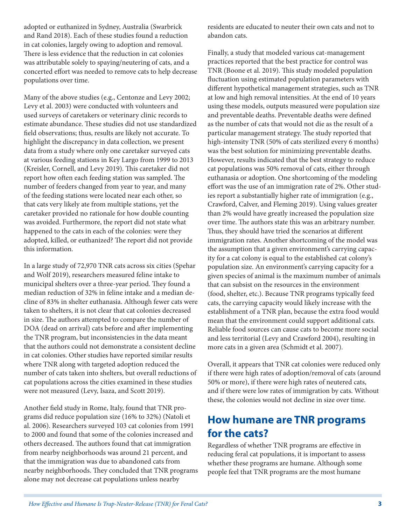adopted or euthanized in Sydney, Australia (Swarbrick and Rand 2018). Each of these studies found a reduction in cat colonies, largely owing to adoption and removal. There is less evidence that the reduction in cat colonies was attributable solely to spaying/neutering of cats, and a concerted effort was needed to remove cats to help decrease populations over time.

Many of the above studies (e.g., Centonze and Levy 2002; Levy et al. 2003) were conducted with volunteers and used surveys of caretakers or veterinary clinic records to estimate abundance. These studies did not use standardized field observations; thus, results are likely not accurate. To highlight the discrepancy in data collection, we present data from a study where only one caretaker surveyed cats at various feeding stations in Key Largo from 1999 to 2013 (Kreisler, Cornell, and Levy 2019). This caretaker did not report how often each feeding station was sampled. The number of feeders changed from year to year, and many of the feeding stations were located near each other, so that cats very likely ate from multiple stations, yet the caretaker provided no rationale for how double counting was avoided. Furthermore, the report did not state what happened to the cats in each of the colonies: were they adopted, killed, or euthanized? The report did not provide this information.

In a large study of 72,970 TNR cats across six cities (Spehar and Wolf 2019), researchers measured feline intake to municipal shelters over a three-year period. They found a median reduction of 32% in feline intake and a median decline of 83% in shelter euthanasia. Although fewer cats were taken to shelters, it is not clear that cat colonies decreased in size. The authors attempted to compare the number of DOA (dead on arrival) cats before and after implementing the TNR program, but inconsistencies in the data meant that the authors could not demonstrate a consistent decline in cat colonies. Other studies have reported similar results where TNR along with targeted adoption reduced the number of cats taken into shelters, but overall reductions of cat populations across the cities examined in these studies were not measured (Levy, Isaza, and Scott 2019).

Another field study in Rome, Italy, found that TNR programs did reduce population size (16% to 32%) (Natoli et al. 2006). Researchers surveyed 103 cat colonies from 1991 to 2000 and found that some of the colonies increased and others decreased. The authors found that cat immigration from nearby neighborhoods was around 21 percent, and that the immigration was due to abandoned cats from nearby neighborhoods. They concluded that TNR programs alone may not decrease cat populations unless nearby

residents are educated to neuter their own cats and not to abandon cats.

Finally, a study that modeled various cat-management practices reported that the best practice for control was TNR (Boone et al. 2019). This study modeled population fluctuation using estimated population parameters with different hypothetical management strategies, such as TNR at low and high removal intensities. At the end of 10 years using these models, outputs measured were population size and preventable deaths. Preventable deaths were defined as the number of cats that would not die as the result of a particular management strategy. The study reported that high-intensity TNR (50% of cats sterilized every 6 months) was the best solution for minimizing preventable deaths. However, results indicated that the best strategy to reduce cat populations was 50% removal of cats, either through euthanasia or adoption. One shortcoming of the modeling effort was the use of an immigration rate of 2%. Other studies report a substantially higher rate of immigration (e.g., Crawford, Calver, and Fleming 2019). Using values greater than 2% would have greatly increased the population size over time. The authors state this was an arbitrary number. Thus, they should have tried the scenarios at different immigration rates. Another shortcoming of the model was the assumption that a given environment's carrying capacity for a cat colony is equal to the established cat colony's population size. An environment's carrying capacity for a given species of animal is the maximum number of animals that can subsist on the resources in the environment (food, shelter, etc.). Because TNR programs typically feed cats, the carrying capacity would likely increase with the establishment of a TNR plan, because the extra food would mean that the environment could support additional cats. Reliable food sources can cause cats to become more social and less territorial (Levy and Crawford 2004), resulting in more cats in a given area (Schmidt et al. 2007).

Overall, it appears that TNR cat colonies were reduced only if there were high rates of adoption/removal of cats (around 50% or more), if there were high rates of neutered cats, and if there were low rates of immigration by cats. Without these, the colonies would not decline in size over time.

### **How humane are TNR programs for the cats?**

Regardless of whether TNR programs are effective in reducing feral cat populations, it is important to assess whether these programs are humane. Although some people feel that TNR programs are the most humane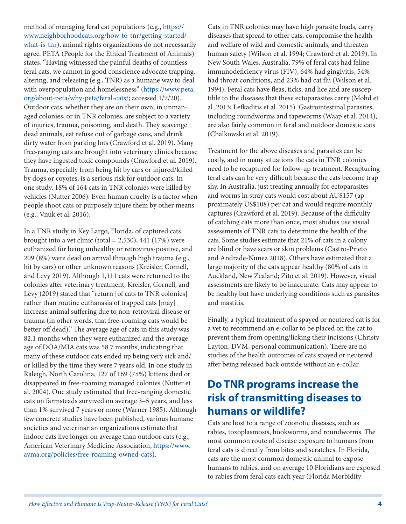method of managing feral cat populations (e.g., [https://](https://www.neighborhoodcats.org/how-to-tnr/getting-started/what-is-tnr) [www.neighborhoodcats.org/how-to-tnr/getting-started/](https://www.neighborhoodcats.org/how-to-tnr/getting-started/what-is-tnr) [what-is-tnr\)](https://www.neighborhoodcats.org/how-to-tnr/getting-started/what-is-tnr), animal rights organizations do not necessarily agree. PETA (People for the Ethical Treatment of Animals) states, "Having witnessed the painful deaths of countless feral cats, we cannot in good conscience advocate trapping, altering, and releasing (e.g., TNR) as a humane way to deal with overpopulation and homelessness" [\(https://www.peta.](https://www.peta.org/about-peta/why-peta/feral-cats/) [org/about-peta/why-peta/feral-cats/](https://www.peta.org/about-peta/why-peta/feral-cats/); accessed 1/7/20). Outdoor cats, whether they are on their own, in unmanaged colonies, or in TNR colonies, are subject to a variety of injuries, trauma, poisoning, and death. They scavenge dead animals, eat refuse out of garbage cans, and drink dirty water from parking lots (Crawford et al. 2019). Many free-ranging cats are brought into veterinary clinics because they have ingested toxic compounds (Crawford et al. 2019). Trauma, especially from being hit by cars or injured/killed by dogs or coyotes, is a serious risk for outdoor cats. In one study, 18% of 164 cats in TNR colonies were killed by vehicles (Nutter 2006). Even human cruelty is a factor when people shoot cats or purposely injure them by other means (e.g., Vnuk et al. 2016).

In a TNR study in Key Largo, Florida, of captured cats brought into a vet clinic (total = 2,530), 441 (17%) were euthanized for being unhealthy or retrovirus-positive, and 209 (8%) were dead on arrival through high trauma (e.g., hit by cars) or other unknown reasons (Kreisler, Cornell, and Levy 2019). Although 1,111 cats were returned to the colonies after veterinary treatment, Kreisler, Cornell, and Levy (2019) stated that "return [of cats to TNR colonies] rather than routine euthanasia of trapped cats [may] increase animal suffering due to non-retroviral disease or trauma (in other words, that free-roaming cats would be better off dead)." The average age of cats in this study was 82.1 months when they were euthanized and the average age of DOA/MIA cats was 58.7 months, indicating that many of these outdoor cats ended up being very sick and/ or killed by the time they were 7 years old. In one study in Raleigh, North Carolina, 127 of 169 (75%) kittens died or disappeared in free-roaming managed colonies (Nutter et al. 2004). One study estimated that free-ranging domestic cats on farmsteads survived on average 3–5 years, and less than 1% survived 7 years or more (Warner 1985). Although few concrete studies have been published, various humane societies and veterinarian organizations estimate that indoor cats live longer on average than outdoor cats (e.g., American Veterinary Medicine Association, [https://www.](https://www.avma.org/policies/free-roaming-owned-cats) [avma.org/policies/free-roaming-owned-cats](https://www.avma.org/policies/free-roaming-owned-cats)).

Cats in TNR colonies may have high parasite loads, carry diseases that spread to other cats, compromise the health and welfare of wild and domestic animals, and threaten human safety (Wilson et al. 1994; Crawford et al. 2019). In New South Wales, Australia, 79% of feral cats had feline immunodeficiency virus (FIV), 64% had gingivitis, 54% had throat conditions, and 23% had cat flu (Wilson et al. 1994). Feral cats have fleas, ticks, and lice and are susceptible to the diseases that these ectoparasites carry (Mohd et al. 2013; Lefkaditis et al. 2015). Gastrointestinal parasites, including roundworms and tapeworms (Waap et al. 2014), are also fairly common in feral and outdoor domestic cats (Chalkowski et al. 2019).

Treatment for the above diseases and parasites can be costly, and in many situations the cats in TNR colonies need to be recaptured for follow-up treatment. Recapturing feral cats can be very difficult because the cats become trap shy. In Australia, just treating annually for ectoparasites and worms in stray cats would cost about AU\$157 (approximately US\$108) per cat and would require monthly captures (Crawford et al. 2019). Because of the difficulty of catching cats more than once, most studies use visual assessments of TNR cats to determine the health of the cats. Some studies estimate that 21% of cats in a colony are blind or have scars or skin problems (Castro-Prieto and Andrade-Nunez 2018). Others have estimated that a large majority of the cats appear healthy (80% of cats in Auckland, New Zealand; Zito et al. 2019). However, visual assessments are likely to be inaccurate. Cats may appear to be healthy but have underlying conditions such as parasites and mastitis.

Finally, a typical treatment of a spayed or neutered cat is for a vet to recommend an e-collar to be placed on the cat to prevent them from opening/licking their incisions (Christy Layton, DVM, personal communication). There are no studies of the health outcomes of cats spayed or neutered after being released back outside without an e-collar.

# **Do TNR programs increase the risk of transmitting diseases to humans or wildlife?**

Cats are host to a range of zoonotic diseases, such as rabies, toxoplasmosis, hookworms, and roundworms. The most common route of disease exposure to humans from feral cats is directly from bites and scratches. In Florida, cats are the most common domestic animal to expose humans to rabies, and on average 10 Floridians are exposed to rabies from feral cats each year (Florida Morbidity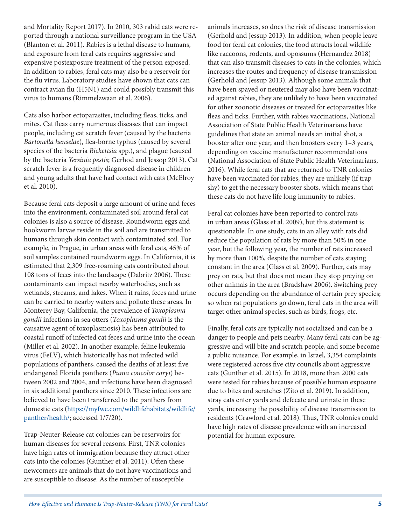and Mortality Report 2017). In 2010, 303 rabid cats were reported through a national surveillance program in the USA (Blanton et al. 2011). Rabies is a lethal disease to humans, and exposure from feral cats requires aggressive and expensive postexposure treatment of the person exposed. In addition to rabies, feral cats may also be a reservoir for the flu virus. Laboratory studies have shown that cats can contract avian flu (H5N1) and could possibly transmit this virus to humans (Rimmelzwaan et al. 2006).

Cats also harbor ectoparasites, including fleas, ticks, and mites. Cat fleas carry numerous diseases that can impact people, including cat scratch fever (caused by the bacteria *Bartonella henselae*), flea-borne typhus (caused by several species of the bacteria *Rickettsia* spp.), and plague (caused by the bacteria *Yersinia pestis*; Gerhod and Jessop 2013). Cat scratch fever is a frequently diagnosed disease in children and young adults that have had contact with cats (McElroy et al. 2010).

Because feral cats deposit a large amount of urine and feces into the environment, contaminated soil around feral cat colonies is also a source of disease. Roundworm eggs and hookworm larvae reside in the soil and are transmitted to humans through skin contact with contaminated soil. For example, in Prague, in urban areas with feral cats, 45% of soil samples contained roundworm eggs. In California, it is estimated that 2,309 free-roaming cats contributed about 108 tons of feces into the landscape (Dabritz 2006). These contaminants can impact nearby waterbodies, such as wetlands, streams, and lakes. When it rains, feces and urine can be carried to nearby waters and pollute these areas. In Monterey Bay, California, the prevalence of *Toxoplasma gondii* infections in sea otters (*Toxoplasma gondii* is the causative agent of toxoplasmosis) has been attributed to coastal runoff of infected cat feces and urine into the ocean (Miller et al. 2002). In another example, feline leukemia virus (FeLV), which historically has not infected wild populations of panthers, caused the deaths of at least five endangered Florida panthers (*Puma concolor coryi*) between 2002 and 2004, and infections have been diagnosed in six additional panthers since 2010. These infections are believed to have been transferred to the panthers from domestic cats [\(https://myfwc.com/wildlifehabitats/wildlife/](https://myfwc.com/wildlifehabitats/wildlife/panther/health/) [panther/health/](https://myfwc.com/wildlifehabitats/wildlife/panther/health/); accessed 1/7/20).

Trap-Neuter-Release cat colonies can be reservoirs for human diseases for several reasons. First, TNR colonies have high rates of immigration because they attract other cats into the colonies (Gunther et al. 2011). Often these newcomers are animals that do not have vaccinations and are susceptible to disease. As the number of susceptible

animals increases, so does the risk of disease transmission (Gerhold and Jessup 2013). In addition, when people leave food for feral cat colonies, the food attracts local wildlife like raccoons, rodents, and opossums (Hernandez 2018) that can also transmit diseases to cats in the colonies, which increases the routes and frequency of disease transmission (Gerhold and Jessup 2013). Although some animals that have been spayed or neutered may also have been vaccinated against rabies, they are unlikely to have been vaccinated for other zoonotic diseases or treated for ectoparasites like fleas and ticks. Further, with rabies vaccinations, National Association of State Public Health Veterinarians have guidelines that state an animal needs an initial shot, a booster after one year, and then boosters every 1–3 years, depending on vaccine manufacturer recommendations (National Association of State Public Health Veterinarians, 2016). While feral cats that are returned to TNR colonies have been vaccinated for rabies, they are unlikely (if trap shy) to get the necessary booster shots, which means that these cats do not have life long immunity to rabies.

Feral cat colonies have been reported to control rats in urban areas (Glass et al. 2009), but this statement is questionable. In one study, cats in an alley with rats did reduce the population of rats by more than 50% in one year, but the following year, the number of rats increased by more than 100%, despite the number of cats staying constant in the area (Glass et al. 2009). Further, cats may prey on rats, but that does not mean they stop preying on other animals in the area (Bradshaw 2006). Switching prey occurs depending on the abundance of certain prey species; so when rat populations go down, feral cats in the area will target other animal species, such as birds, frogs, etc.

Finally, feral cats are typically not socialized and can be a danger to people and pets nearby. Many feral cats can be aggressive and will bite and scratch people, and some become a public nuisance. For example, in Israel, 3,354 complaints were registered across five city councils about aggressive cats (Gunther et al. 2015). In 2018, more than 2000 cats were tested for rabies because of possible human exposure due to bites and scratches (Zito et al. 2019). In addition, stray cats enter yards and defecate and urinate in these yards, increasing the possibility of disease transmission to residents (Crawford et al. 2018). Thus, TNR colonies could have high rates of disease prevalence with an increased potential for human exposure.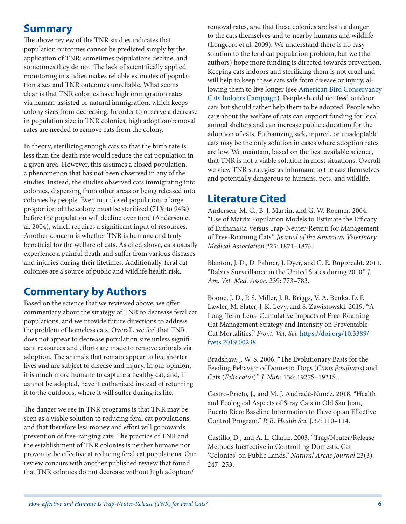### **Summary**

The above review of the TNR studies indicates that population outcomes cannot be predicted simply by the application of TNR: sometimes populations decline, and sometimes they do not. The lack of scientifically applied monitoring in studies makes reliable estimates of population sizes and TNR outcomes unreliable. What seems clear is that TNR colonies have high immigration rates via human-assisted or natural immigration, which keeps colony sizes from decreasing. In order to observe a decrease in population size in TNR colonies, high adoption/removal rates are needed to remove cats from the colony.

In theory, sterilizing enough cats so that the birth rate is less than the death rate would reduce the cat population in a given area. However, this assumes a closed population, a phenomenon that has not been observed in any of the studies. Instead, the studies observed cats immigrating into colonies, dispersing from other areas or being released into colonies by people. Even in a closed population, a large proportion of the colony must be sterilized (71% to 94%) before the population will decline over time (Andersen et al. 2004), which requires a significant input of resources. Another concern is whether TNR is humane and truly beneficial for the welfare of cats. As cited above, cats usually experience a painful death and suffer from various diseases and injuries during their lifetimes. Additionally, feral cat colonies are a source of public and wildlife health risk.

# **Commentary by Authors**

Based on the science that we reviewed above, we offer commentary about the strategy of TNR to decrease feral cat populations, and we provide future directions to address the problem of homeless cats. Overall, we feel that TNR does not appear to decrease population size unless significant resources and efforts are made to remove animals via adoption. The animals that remain appear to live shorter lives and are subject to disease and injury. In our opinion, it is much more humane to capture a healthy cat, and, if cannot be adopted, have it euthanized instead of returning it to the outdoors, where it will suffer during its life.

The danger we see in TNR programs is that TNR may be seen as a viable solution to reducing feral cat populations, and that therefore less money and effort will go towards prevention of free-ranging cats. The practice of TNR and the establishment of TNR colonies is neither humane nor proven to be effective at reducing feral cat populations. Our review concurs with another published review that found that TNR colonies do not decrease without high adoption/

removal rates, and that these colonies are both a danger to the cats themselves and to nearby humans and wildlife (Longcore et al. 2009). We understand there is no easy solution to the feral cat population problem, but we (the authors) hope more funding is directed towards prevention. Keeping cats indoors and sterilizing them is not cruel and will help to keep these cats safe from disease or injury, allowing them to live longer (see [American Bird Conservancy](https://abcbirds.org/program/cats-indoors/)  [Cats Indoors Campaign\)](https://abcbirds.org/program/cats-indoors/). People should not feed outdoor cats but should rather help them to be adopted. People who care about the welfare of cats can support funding for local animal shelters and can increase public education for the adoption of cats. Euthanizing sick, injured, or unadoptable cats may be the only solution in cases where adoption rates are low. We maintain, based on the best available science, that TNR is not a viable solution in most situations. Overall, we view TNR strategies as inhumane to the cats themselves and potentially dangerous to humans, pets, and wildlife.

### **Literature Cited**

Andersen, M. C., B. J. Martin, and G. W. Roemer. 2004. "Use of Matrix Population Models to Estimate the Efficacy of Euthanasia Versus Trap-Neuter-Return for Management of Free-Roaming Cats." *Journal of the American Veterinary Medical Association* 225: 1871–1876.

Blanton, J. D., D. Palmer, J. Dyer, and C. E. Rupprecht. 2011. "Rabies Surveillance in the United States during 2010." *J. Am. Vet. Med. Assoc.* 239: 773–783.

Boone, J. D., P. S. Miller, J. R. Briggs, V. A. Benka, D. F. Lawler, M. Slater, J. K. Levy, and S. Zawistowski. 2019. **"**A Long-Term Lens: Cumulative Impacts of Free-Roaming Cat Management Strategy and Intensity on Preventable Cat Mortalities." *Front. Vet. Sci.* [https://doi.org/10.3389/](https://doi.org/10.3389/fvets.2019.00238) [fvets.2019.00238](https://doi.org/10.3389/fvets.2019.00238)

Bradshaw, J. W. S. 2006. "The Evolutionary Basis for the Feeding Behavior of Domestic Dogs (*Canis familiaris*) and Cats (*Felis catus*)." *J. Nutr.* 136: 1927S–1931S.

Castro-Prieto, J., and M. J. Andrade-Nunez. 2018. "Health and Ecological Aspects of Stray Cats in Old San Juan, Puerto Rico: Baseline Information to Develop an Effective Control Program." *P. R. Health Sci.* J.37: 110–114.

Castillo, D., and A. L. Clarke. 2003. "Trap/Neuter/Release Methods Ineffective in Controlling Domestic Cat 'Colonies' on Public Lands." *Natural Areas Journal* 23(3): 247–253.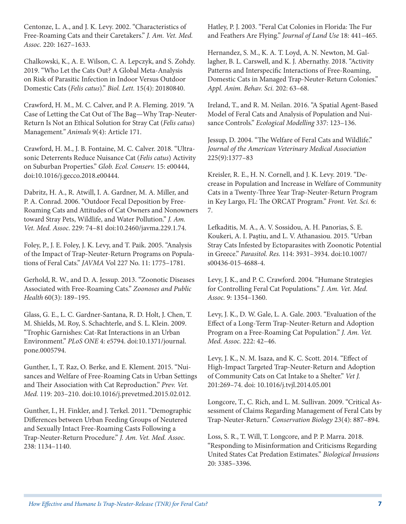Centonze, L. A., and J. K. Levy. 2002. "Characteristics of Free-Roaming Cats and their Caretakers." *J. Am. Vet. Med. Assoc.* 220: 1627–1633.

Chalkowski, K., A. E. Wilson, C. A. Lepczyk, and S. Zohdy. 2019. "Who Let the Cats Out? A Global Meta-Analysis on Risk of Parasitic Infection in Indoor Versus Outdoor Domestic Cats (*Felis catus*)." *Biol. Lett.* 15(4): 20180840.

Crawford, H. M., M. C. Calver, and P. A. Fleming. 2019. "A Case of Letting the Cat Out of The Bag—Why Trap-Neuter-Return Is Not an Ethical Solution for Stray Cat (*Felis catus*) Management*." Animals* 9(4): Article 171.

Crawford, H. M., J. B. Fontaine, M. C. Calver. 2018. "Ultrasonic Deterrents Reduce Nuisance Cat (*Felis catus*) Activity on Suburban Properties." *Glob. Ecol. Conserv.* 15: e00444, doi:10.1016/j.gecco.2018.e00444.

Dabritz, H. A., R. Atwill, I. A. Gardner, M. A. Miller, and P. A. Conrad. 2006. "Outdoor Fecal Deposition by Free-Roaming Cats and Attitudes of Cat Owners and Nonowners toward Stray Pets, Wildlife, and Water Pollution." *J. Am. Vet. Med. Assoc*. 229: 74–81 doi:10.2460/javma.229.1.74.

Foley, P., J. E. Foley, J. K. Levy, and T. Paik. 2005. "Analysis of the Impact of Trap-Neuter-Return Programs on Populations of Feral Cats." *JAVMA* Vol 227 No. 11: 1775–1781.

Gerhold, R. W., and D. A. Jessup. 2013. "Zoonotic Diseases Associated with Free-Roaming Cats." *Zoonoses and Public Health* 60(3): 189–195.

Glass, G. E., L. C. Gardner-Santana, R. D. Holt, J. Chen, T. M. Shields, M. Roy, S. Schachterle, and S. L. Klein. 2009. "Trophic Garnishes: Cat-Rat Interactions in an Urban Environment." *PLoS ONE* 4: e5794. doi:10.1371/journal. pone.0005794.

Gunther, I., T. Raz, O. Berke, and E. Klement. 2015. "Nuisances and Welfare of Free-Roaming Cats in Urban Settings and Their Association with Cat Reproduction." *Prev. Vet. Med.* 119: 203–210. doi:10.1016/j.prevetmed.2015.02.012.

Gunther, I., H. Finkler, and J. Terkel. 2011. "Demographic Differences between Urban Feeding Groups of Neutered and Sexually Intact Free-Roaming Casts Following a Trap-Neuter-Return Procedure." *J. Am. Vet. Med. Assoc.* 238: 1134–1140.

Hatley, P. J. 2003. "Feral Cat Colonies in Florida: The Fur and Feathers Are Flying." *Journal of Land Use* 18: 441–465.

Hernandez, S. M., K. A. T. Loyd, A. N. Newton, M. Gallagher, B. L. Carswell, and K. J. Abernathy. 2018. "Activity Patterns and Interspecific Interactions of Free-Roaming, Domestic Cats in Managed Trap-Neuter-Return Colonies." *Appl. Anim. Behav. Sci.* 202: 63–68.

Ireland, T., and R. M. Neilan. 2016. "A Spatial Agent-Based Model of Feral Cats and Analysis of Population and Nuisance Controls." *Ecological Modelling* 337: 123–136.

Jessup, D. 2004. "The Welfare of Feral Cats and Wildlife." *Journal of the American Veterinary Medical Association* 225(9):1377–83

Kreisler, R. E., H. N. Cornell, and J. K. Levy. 2019. "Decrease in Population and Increase in Welfare of Community Cats in a Twenty-Three Year Trap-Neuter-Return Program in Key Largo, FL: The ORCAT Program." *Front. Vet. Sci.* 6: 7.

Lefkaditis, M. A., A. V. Sossidou, A. H. Panorias, S. E. Koukeri, A. I. Paştiu, and L. V. Athanasiou. 2015. "Urban Stray Cats Infested by Ectoparasites with Zoonotic Potential in Greece." *Parasitol. Res.* 114: 3931–3934. doi:10.1007/ s00436-015-4688-4.

Levy, J. K., and P. C. Crawford. 2004. "Humane Strategies for Controlling Feral Cat Populations." *J. Am. Vet. Med. Assoc.* 9: 1354–1360.

Levy, J. K., D. W. Gale, L. A. Gale. 2003. "Evaluation of the Effect of a Long-Term Trap-Neuter-Return and Adoption Program on a Free-Roaming Cat Population." *J. Am. Vet. Med. Assoc.* 222: 42–46.

Levy, J. K., N. M. Isaza, and K. C. Scott. 2014. "Effect of High-Impact Targeted Trap-Neuter-Return and Adoption of Community Cats on Cat Intake to a Shelter." *Vet J.* 201:269–74. doi: 10.1016/j.tvjl.2014.05.001

Longcore, T., C. Rich, and L. M. Sullivan. 2009. "Critical Assessment of Claims Regarding Management of Feral Cats by Trap-Neuter-Return." *Conservation Biology* 23(4): 887–894.

Loss, S. R., T. Will, T. Longcore, and P. P. Marra. 2018. "Responding to Misinformation and Criticisms Regarding United States Cat Predation Estimates." *Biological Invasions*  20: 3385–3396.